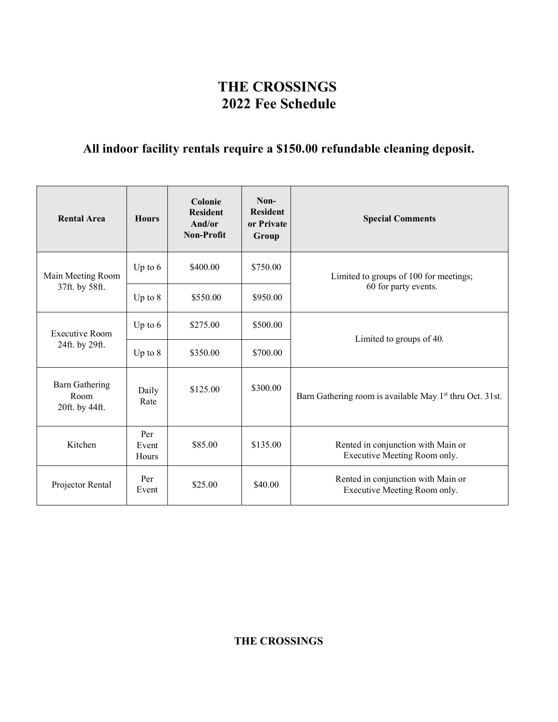# **THE CROSSINGS 2022 Fee Schedule**

# **All indoor facility rentals require a \$150.00 refundable cleaning deposit.**

| <b>Rental Area</b>                              | <b>Hours</b>          | Colonie<br><b>Resident</b><br>And/or<br>Non-Profit | Non-<br><b>Resident</b><br>or Private<br>Group | <b>Special Comments</b>                                              |
|-------------------------------------------------|-----------------------|----------------------------------------------------|------------------------------------------------|----------------------------------------------------------------------|
| Main Meeting Room                               | Up to $6$             | \$400.00                                           | \$750.00                                       | Limited to groups of 100 for meetings;                               |
| 37ft. by 58ft.                                  | Up to $8$             | \$550.00                                           | \$950.00                                       | 60 for party events.                                                 |
| <b>Executive Room</b>                           | Up to $6$             | \$275.00                                           | \$500.00                                       | Limited to groups of 40.                                             |
| 24ft. by 29ft.                                  | Up to $8$             | \$350.00                                           | \$700.00                                       |                                                                      |
| <b>Barn Gathering</b><br>Room<br>20ft. by 44ft. | Daily<br>Rate         | \$125.00                                           | \$300.00                                       | Barn Gathering room is available May 1 <sup>st</sup> thru Oct. 31st. |
| Kitchen                                         | Per<br>Event<br>Hours | \$85.00                                            | \$135.00                                       | Rented in conjunction with Main or<br>Executive Meeting Room only.   |
| Projector Rental                                | Per<br>Event          | \$25.00                                            | \$40.00                                        | Rented in conjunction with Main or<br>Executive Meeting Room only.   |

**THE CROSSINGS**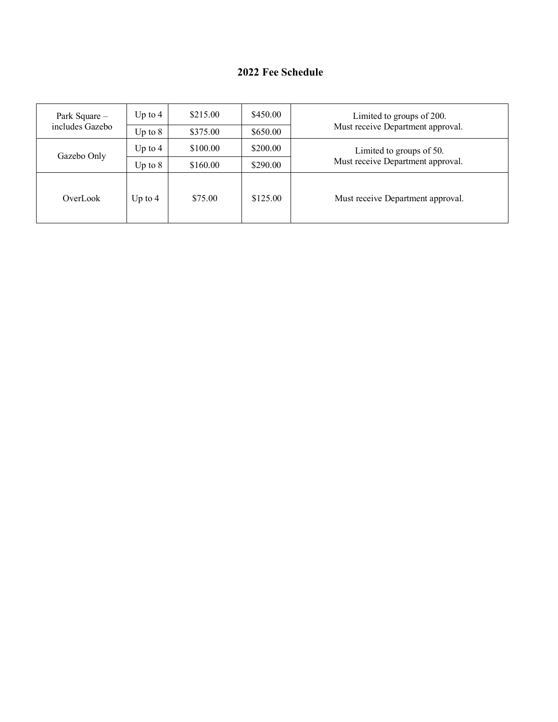## **2022 Fee Schedule**

| Park Square -<br>includes Gazebo | Up to $4$ | \$215.00 | \$450.00 | Limited to groups of 200.         |
|----------------------------------|-----------|----------|----------|-----------------------------------|
|                                  | Up to $8$ | \$375.00 | \$650.00 | Must receive Department approval. |
| Gazebo Only                      | Up to $4$ | \$100.00 | \$200.00 | Limited to groups of 50.          |
|                                  | Up to $8$ | \$160.00 | \$290.00 | Must receive Department approval. |
| OverLook                         | Up to $4$ | \$75.00  | \$125.00 | Must receive Department approval. |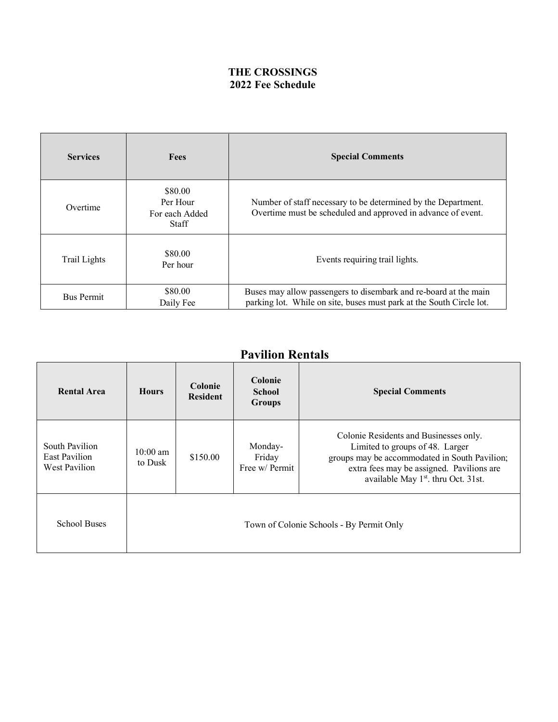## **THE CROSSINGS 2022 Fee Schedule**

| <b>Services</b>   | <b>Fees</b>                                           | <b>Special Comments</b>                                                                                                                  |
|-------------------|-------------------------------------------------------|------------------------------------------------------------------------------------------------------------------------------------------|
| Overtime          | \$80.00<br>Per Hour<br>For each Added<br><b>Staff</b> | Number of staff necessary to be determined by the Department.<br>Overtime must be scheduled and approved in advance of event.            |
| Trail Lights      | \$80.00<br>Per hour                                   | Events requiring trail lights.                                                                                                           |
| <b>Bus Permit</b> | \$80.00<br>Daily Fee                                  | Buses may allow passengers to disembark and re-board at the main<br>parking lot. While on site, buses must park at the South Circle lot. |

# **Pavilion Rentals**

| <b>Rental Area</b>                               | <b>Hours</b>                  | <b>Colonie</b><br><b>Resident</b>        | Colonie<br><b>School</b><br><b>Groups</b> | <b>Special Comments</b>                                                                                                                                                                                                    |
|--------------------------------------------------|-------------------------------|------------------------------------------|-------------------------------------------|----------------------------------------------------------------------------------------------------------------------------------------------------------------------------------------------------------------------------|
| South Pavilion<br>East Pavilion<br>West Pavilion | $10:00 \text{ am}$<br>to Dusk | \$150.00                                 | Monday-<br>Friday<br>Free w/ Permit       | Colonie Residents and Businesses only.<br>Limited to groups of 48. Larger<br>groups may be accommodated in South Pavilion;<br>extra fees may be assigned. Pavilions are<br>available May 1 <sup>st</sup> . thru Oct. 31st. |
| <b>School Buses</b>                              |                               | Town of Colonie Schools - By Permit Only |                                           |                                                                                                                                                                                                                            |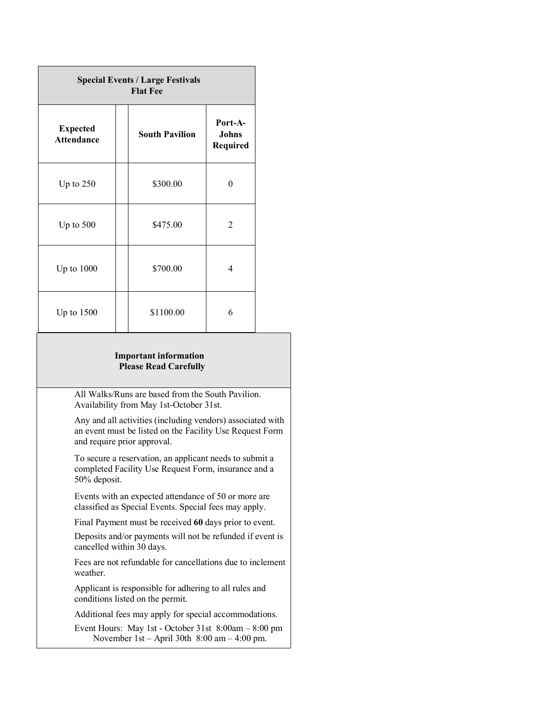| <b>Special Events / Large Festivals</b><br><b>Flat Fee</b> |  |                       |                              |
|------------------------------------------------------------|--|-----------------------|------------------------------|
| <b>Expected</b><br><b>Attendance</b>                       |  | <b>South Pavilion</b> | Port-A-<br>Johns<br>Required |
| Up to $250$                                                |  | \$300.00              | 0                            |
| Up to $500$                                                |  | \$475.00              | $\overline{2}$               |
| Up to $1000$                                               |  | \$700.00              | 4                            |
| Up to $1500$                                               |  | \$1100.00             | 6                            |

#### **Important information Please Read Carefully**

 All Walks/Runs are based from the South Pavilion. Availability from May 1st-October 31st.

 Any and all activities (including vendors) associated with an event must be listed on the Facility Use Request Form and require prior approval.

 To secure a reservation, an applicant needs to submit a completed Facility Use Request Form, insurance and a 50% deposit.

 Events with an expected attendance of 50 or more are classified as Special Events. Special fees may apply.

Final Payment must be received **60** days prior to event.

 Deposits and/or payments will not be refunded if event is cancelled within 30 days.

 Fees are not refundable for cancellations due to inclement weather.

 Applicant is responsible for adhering to all rules and conditions listed on the permit.

Additional fees may apply for special accommodations.

 Event Hours: May 1st - October 31st 8:00am – 8:00 pm November 1st – April 30th 8:00 am – 4:00 pm.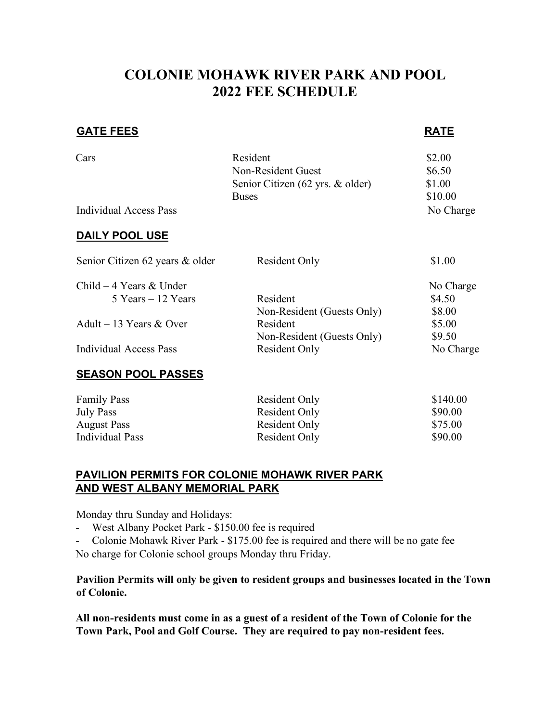# **COLONIE MOHAWK RIVER PARK AND POOL 2022 FEE SCHEDULE**

## **GATE FEES** RATE

| Cars                                           | Resident<br>Non-Resident Guest<br>Senior Citizen (62 yrs. & older)<br><b>Buses</b> | \$2.00<br>\$6.50<br>\$1.00<br>\$10.00 |
|------------------------------------------------|------------------------------------------------------------------------------------|---------------------------------------|
| Individual Access Pass                         |                                                                                    | No Charge                             |
| <b>DAILY POOL USE</b>                          |                                                                                    |                                       |
| Senior Citizen 62 years & older                | <b>Resident Only</b>                                                               | \$1.00                                |
| Child $-4$ Years & Under<br>5 Years – 12 Years | Resident                                                                           | No Charge<br>\$4.50                   |
|                                                | Non-Resident (Guests Only)                                                         | \$8.00                                |
| Adult – 13 Years $&$ Over                      | Resident                                                                           | \$5.00                                |
|                                                | Non-Resident (Guests Only)                                                         | \$9.50                                |
| <b>Individual Access Pass</b>                  | <b>Resident Only</b>                                                               | No Charge                             |
| <b>SEASON POOL PASSES</b>                      |                                                                                    |                                       |

| <b>Family Pass</b> | Resident Only | \$140.00 |
|--------------------|---------------|----------|
| <b>July Pass</b>   | Resident Only | \$90.00  |
| <b>August Pass</b> | Resident Only | \$75.00  |
| Individual Pass    | Resident Only | \$90.00  |

## **PAVILION PERMITS FOR COLONIE MOHAWK RIVER PARK AND WEST ALBANY MEMORIAL PARK**

Monday thru Sunday and Holidays:

- West Albany Pocket Park \$150.00 fee is required
- Colonie Mohawk River Park \$175.00 fee is required and there will be no gate fee

No charge for Colonie school groups Monday thru Friday.

## **Pavilion Permits will only be given to resident groups and businesses located in the Town of Colonie.**

**All non-residents must come in as a guest of a resident of the Town of Colonie for the Town Park, Pool and Golf Course. They are required to pay non-resident fees.**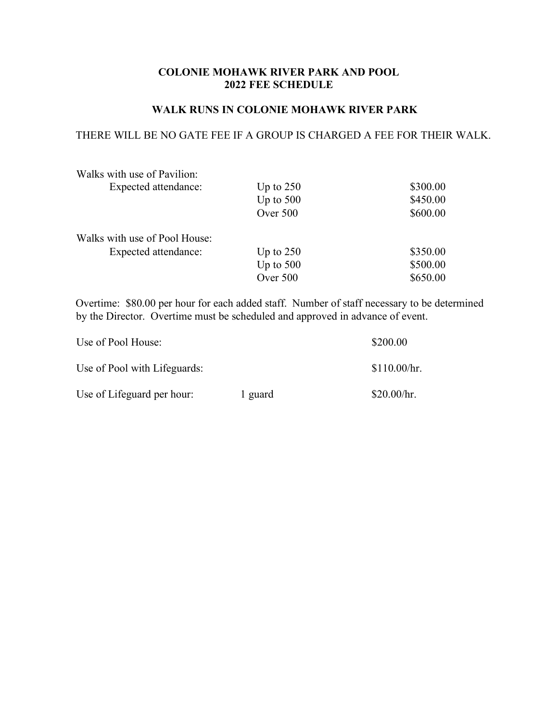### **COLONIE MOHAWK RIVER PARK AND POOL 2022 FEE SCHEDULE**

#### **WALK RUNS IN COLONIE MOHAWK RIVER PARK**

#### THERE WILL BE NO GATE FEE IF A GROUP IS CHARGED A FEE FOR THEIR WALK.

| Walks with use of Pavilion:   |             |          |
|-------------------------------|-------------|----------|
| Expected attendance:          | Up to $250$ | \$300.00 |
|                               | Up to $500$ | \$450.00 |
|                               | Over 500    | \$600.00 |
| Walks with use of Pool House: |             |          |
| Expected attendance:          | Up to $250$ | \$350.00 |
|                               | Up to $500$ | \$500.00 |
|                               | Over 500    | \$650.00 |

Overtime: \$80.00 per hour for each added staff. Number of staff necessary to be determined by the Director. Overtime must be scheduled and approved in advance of event.

| Use of Pool House:           | \$200.00 |              |
|------------------------------|----------|--------------|
| Use of Pool with Lifeguards: |          | \$110.00/hr. |
| Use of Lifeguard per hour:   | 1 guard  | \$20.00/hr.  |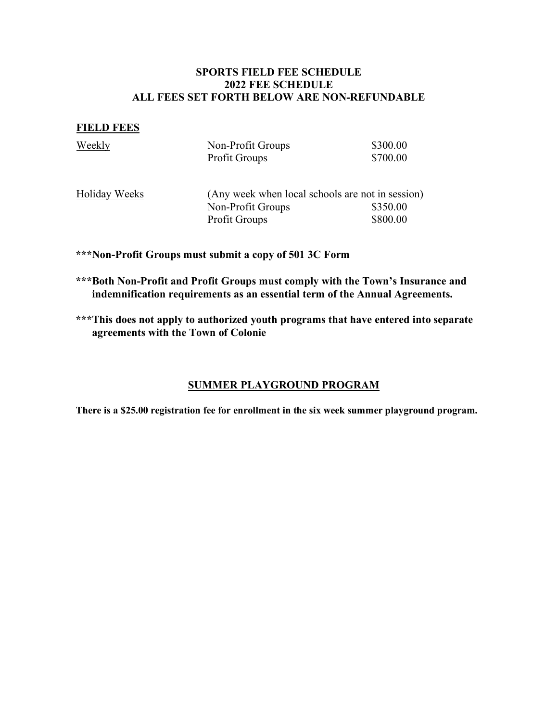## **SPORTS FIELD FEE SCHEDULE 2022 FEE SCHEDULE ALL FEES SET FORTH BELOW ARE NON-REFUNDABLE**

#### **FIELD FEES**

| Weekly               | Non-Profit Groups<br><b>Profit Groups</b>        | \$300.00<br>\$700.00 |
|----------------------|--------------------------------------------------|----------------------|
| <b>Holiday Weeks</b> | (Any week when local schools are not in session) |                      |
|                      | Non-Profit Groups                                | \$350.00             |
|                      | <b>Profit Groups</b>                             | \$800.00             |

**\*\*\*Non-Profit Groups must submit a copy of 501 3C Form** 

- **\*\*\*Both Non-Profit and Profit Groups must comply with the Town's Insurance and indemnification requirements as an essential term of the Annual Agreements.**
- **\*\*\*This does not apply to authorized youth programs that have entered into separate agreements with the Town of Colonie**

## **SUMMER PLAYGROUND PROGRAM**

**There is a \$25.00 registration fee for enrollment in the six week summer playground program.**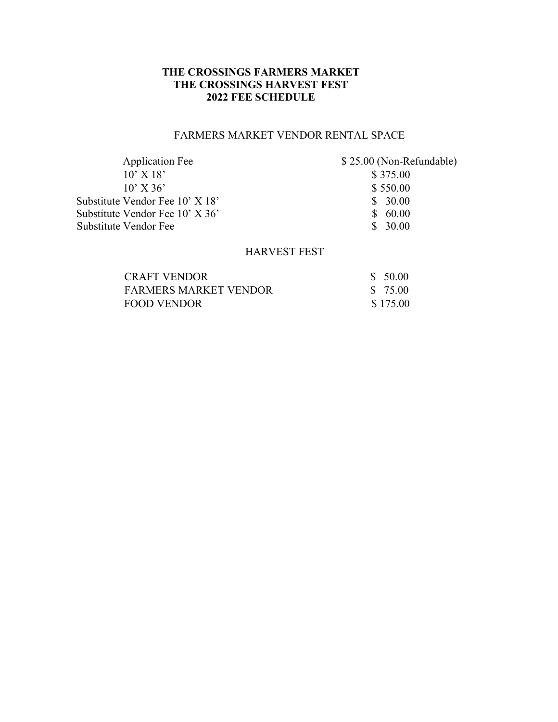## **THE CROSSINGS FARMERS MARKET THE CROSSINGS HARVEST FEST 2022 FEE SCHEDULE**

## FARMERS MARKET VENDOR RENTAL SPACE

| <b>Application Fee</b>          | \$25.00 (Non-Refundable) |
|---------------------------------|--------------------------|
| $10'$ X $18'$                   | \$375.00                 |
| $10'$ X 36'                     | \$550.00                 |
| Substitute Vendor Fee 10' X 18' | \$30.00                  |
| Substitute Vendor Fee 10' X 36' | \$60.00                  |
| Substitute Vendor Fee           | \$30.00                  |

## HARVEST FEST

| <b>CRAFT VENDOR</b>          | \$50.00  |
|------------------------------|----------|
| <b>FARMERS MARKET VENDOR</b> | \$ 75.00 |
| <b>FOOD VENDOR</b>           | \$175.00 |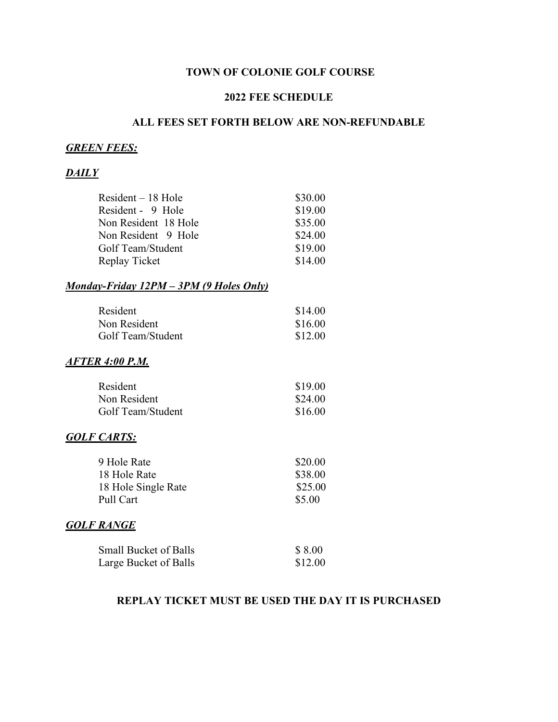## **TOWN OF COLONIE GOLF COURSE**

#### **2022 FEE SCHEDULE**

## **ALL FEES SET FORTH BELOW ARE NON-REFUNDABLE**

## *GREEN FEES:*

## *DAILY*

| \$30.00 |
|---------|
| \$19.00 |
| \$35.00 |
| \$24.00 |
| \$19.00 |
| \$14.00 |
|         |

### *Monday-Friday 12PM – 3PM (9 Holes Only)*

| Resident          | \$14.00 |
|-------------------|---------|
| Non Resident      | \$16.00 |
| Golf Team/Student | \$12.00 |

#### *AFTER 4:00 P.M.*

| Resident          | \$19.00 |
|-------------------|---------|
| Non Resident      | \$24.00 |
| Golf Team/Student | \$16.00 |

#### *GOLF CARTS:*

| 9 Hole Rate         | \$20.00 |
|---------------------|---------|
| 18 Hole Rate        | \$38.00 |
| 18 Hole Single Rate | \$25.00 |
| Pull Cart           | \$5.00  |

#### *GOLF RANGE*

| <b>Small Bucket of Balls</b> | \$8.00  |
|------------------------------|---------|
| Large Bucket of Balls        | \$12.00 |

## **REPLAY TICKET MUST BE USED THE DAY IT IS PURCHASED**